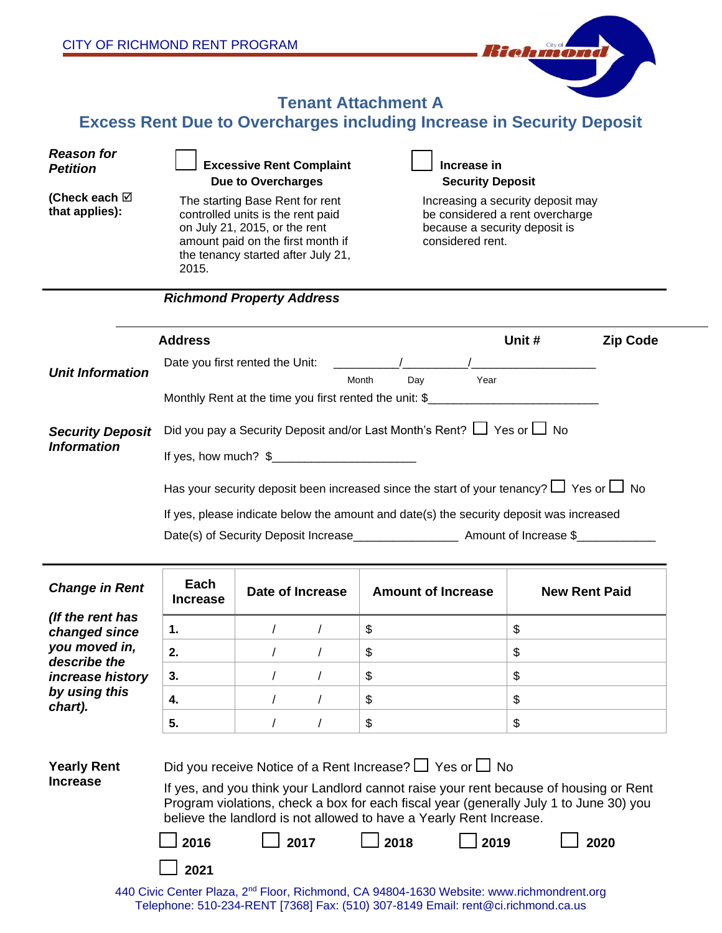| CITY OF RICHMOND RENT PROGRAM                                                                                      |                                                                                                                                                                                                                                                                                                                                                                              |                                                                                                                                                                                                                                                  |                            | Biohmond                                                                                                                                             |  |  |  |
|--------------------------------------------------------------------------------------------------------------------|------------------------------------------------------------------------------------------------------------------------------------------------------------------------------------------------------------------------------------------------------------------------------------------------------------------------------------------------------------------------------|--------------------------------------------------------------------------------------------------------------------------------------------------------------------------------------------------------------------------------------------------|----------------------------|------------------------------------------------------------------------------------------------------------------------------------------------------|--|--|--|
| <b>Tenant Attachment A</b><br><b>Excess Rent Due to Overcharges including Increase in Security Deposit</b>         |                                                                                                                                                                                                                                                                                                                                                                              |                                                                                                                                                                                                                                                  |                            |                                                                                                                                                      |  |  |  |
| <b>Reason for</b><br><b>Petition</b><br>(Check each $\boxtimes$<br>that applies):                                  | 2015.                                                                                                                                                                                                                                                                                                                                                                        | <b>Excessive Rent Complaint</b><br><b>Due to Overcharges</b><br>The starting Base Rent for rent<br>controlled units is the rent paid<br>on July 21, 2015, or the rent<br>amount paid on the first month if<br>the tenancy started after July 21, | Increase in                | <b>Security Deposit</b><br>Increasing a security deposit may<br>be considered a rent overcharge<br>because a security deposit is<br>considered rent. |  |  |  |
| <b>Richmond Property Address</b>                                                                                   |                                                                                                                                                                                                                                                                                                                                                                              |                                                                                                                                                                                                                                                  |                            |                                                                                                                                                      |  |  |  |
| <b>Unit Information</b>                                                                                            | <b>Address</b><br>Unit #<br><b>Zip Code</b><br>Date you first rented the Unit: _______<br>Month<br>Day<br>Year<br>Monthly Rent at the time you first rented the unit: \$                                                                                                                                                                                                     |                                                                                                                                                                                                                                                  |                            |                                                                                                                                                      |  |  |  |
| <b>Security Deposit</b><br><b>Information</b>                                                                      | Did you pay a Security Deposit and/or Last Month's Rent? $\Box$ Yes or $\Box$ No<br>Has your security deposit been increased since the start of your tenancy? $\Box$ Yes or $\Box$ No<br>If yes, please indicate below the amount and date(s) the security deposit was increased<br>Date(s) of Security Deposit Increase_________________________ Amount of Increase \$_     |                                                                                                                                                                                                                                                  |                            |                                                                                                                                                      |  |  |  |
| <b>Change in Rent</b>                                                                                              | Each<br><b>Increase</b>                                                                                                                                                                                                                                                                                                                                                      | Date of Increase                                                                                                                                                                                                                                 | <b>Amount of Increase</b>  | <b>New Rent Paid</b>                                                                                                                                 |  |  |  |
| (If the rent has<br>changed since<br>you moved in,<br>describe the<br>increase history<br>by using this<br>chart). | 1.<br>2.<br>3.<br>4.<br>5.                                                                                                                                                                                                                                                                                                                                                   | $\prime$<br>$\prime$<br>$\prime$<br>$\prime$<br>$\prime$<br>$\prime$                                                                                                                                                                             | \$<br>\$<br>\$<br>\$<br>\$ | \$<br>\$<br>\$<br>\$<br>\$                                                                                                                           |  |  |  |
| <b>Yearly Rent</b><br><b>Increase</b>                                                                              | Did you receive Notice of a Rent Increase? $\Box$ Yes or $\Box$ No<br>If yes, and you think your Landlord cannot raise your rent because of housing or Rent<br>Program violations, check a box for each fiscal year (generally July 1 to June 30) you<br>believe the landlord is not allowed to have a Yearly Rent Increase.<br>2018<br>2016<br>2017<br>2019<br>2020<br>2021 |                                                                                                                                                                                                                                                  |                            |                                                                                                                                                      |  |  |  |

440 Civic Center Plaza, 2<sup>nd</sup> Floor, Richmond, CA 94804-1630 Website: www.richmondrent.org Telephone: 510-234-RENT [7368] Fax: (510) 307-8149 Email: rent@ci.richmond.ca.us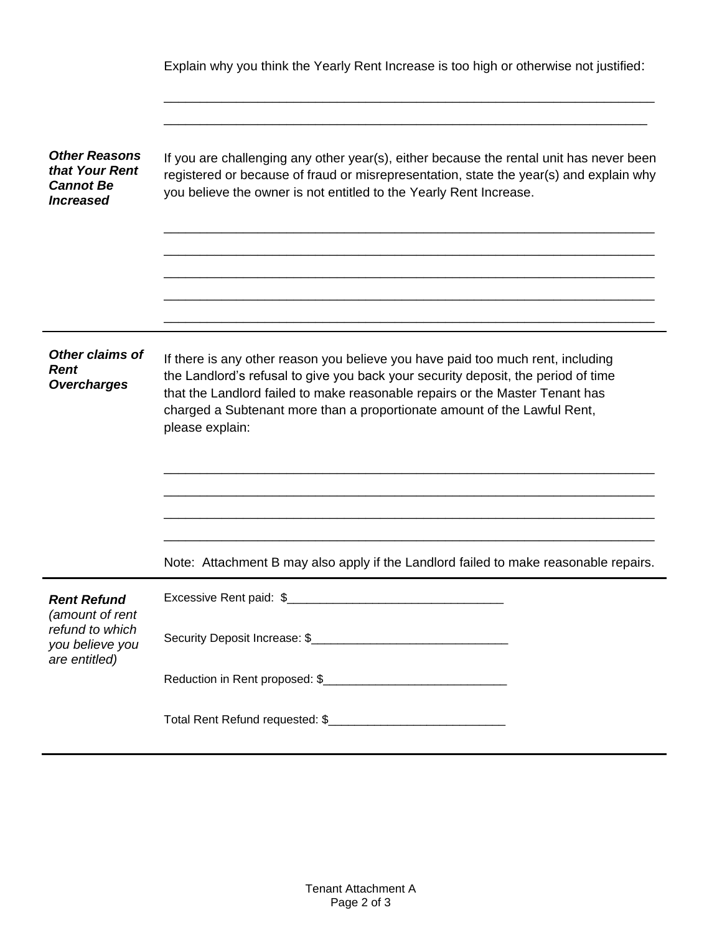|                                                                                              | Explain why you think the Yearly Rent Increase is too high or otherwise not justified:                                                                                                                                                                                                                                                              |  |  |  |  |  |
|----------------------------------------------------------------------------------------------|-----------------------------------------------------------------------------------------------------------------------------------------------------------------------------------------------------------------------------------------------------------------------------------------------------------------------------------------------------|--|--|--|--|--|
|                                                                                              |                                                                                                                                                                                                                                                                                                                                                     |  |  |  |  |  |
| <b>Other Reasons</b><br>that Your Rent<br><b>Cannot Be</b><br><b>Increased</b>               | If you are challenging any other year(s), either because the rental unit has never been<br>registered or because of fraud or misrepresentation, state the year(s) and explain why<br>you believe the owner is not entitled to the Yearly Rent Increase.                                                                                             |  |  |  |  |  |
|                                                                                              |                                                                                                                                                                                                                                                                                                                                                     |  |  |  |  |  |
|                                                                                              |                                                                                                                                                                                                                                                                                                                                                     |  |  |  |  |  |
| <b>Other claims of</b><br><b>Rent</b><br><b>Overcharges</b>                                  | If there is any other reason you believe you have paid too much rent, including<br>the Landlord's refusal to give you back your security deposit, the period of time<br>that the Landlord failed to make reasonable repairs or the Master Tenant has<br>charged a Subtenant more than a proportionate amount of the Lawful Rent,<br>please explain: |  |  |  |  |  |
|                                                                                              |                                                                                                                                                                                                                                                                                                                                                     |  |  |  |  |  |
|                                                                                              |                                                                                                                                                                                                                                                                                                                                                     |  |  |  |  |  |
|                                                                                              | Note: Attachment B may also apply if the Landlord failed to make reasonable repairs.                                                                                                                                                                                                                                                                |  |  |  |  |  |
| <b>Rent Refund</b><br>(amount of rent<br>refund to which<br>you believe you<br>are entitled) |                                                                                                                                                                                                                                                                                                                                                     |  |  |  |  |  |
|                                                                                              |                                                                                                                                                                                                                                                                                                                                                     |  |  |  |  |  |
|                                                                                              |                                                                                                                                                                                                                                                                                                                                                     |  |  |  |  |  |
|                                                                                              |                                                                                                                                                                                                                                                                                                                                                     |  |  |  |  |  |